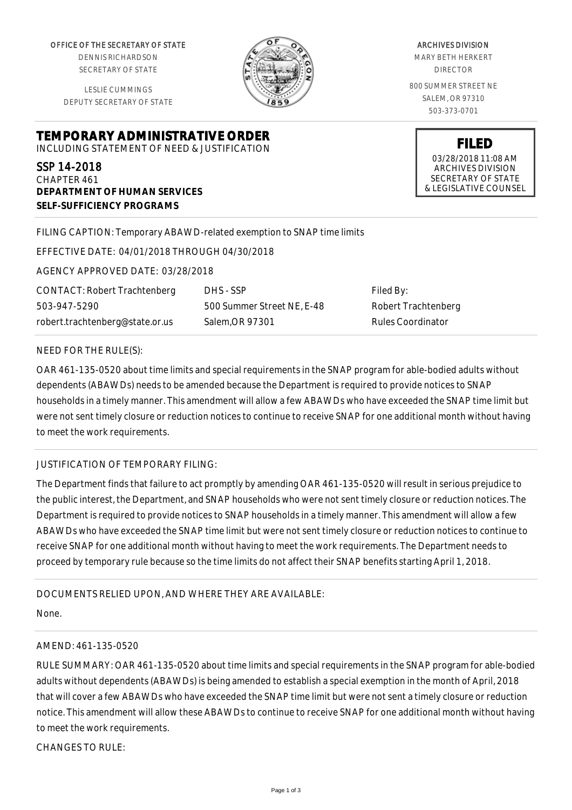OFFICE OF THE SECRETARY OF STATE

DENNIS RICHARDSON SECRETARY OF STATE

LESLIE CUMMINGS DEPUTY SECRETARY OF STATE

**DEPARTMENT OF HUMAN SERVICES**

**SELF-SUFFICIENCY PROGRAMS**



ARCHIVES DIVISION MARY BETH HERKERT DIRECTOR 800 SUMMER STREET NE SALEM, OR 97310

503-373-0701

**FILED** 03/28/2018 11:08 AM ARCHIVES DIVISION SECRETARY OF STATE & LEGISLATIVE COUNSEL

FILING CAPTION: Temporary ABAWD-related exemption to SNAP time limits

EFFECTIVE DATE: 04/01/2018 THROUGH 04/30/2018

**TEMPORARY ADMINISTRATIVE ORDER** INCLUDING STATEMENT OF NEED & JUSTIFICATION

AGENCY APPROVED DATE: 03/28/2018

CONTACT: Robert Trachtenberg 503-947-5290 robert.trachtenberg@state.or.us

DHS - SSP 500 Summer Street NE, E-48 Salem,OR 97301

Filed By: Robert Trachtenberg Rules Coordinator

#### NEED FOR THE RULE(S):

SSP 14-2018 CHAPTER 461

OAR 461-135-0520 about time limits and special requirements in the SNAP program for able-bodied adults without dependents (ABAWDs) needs to be amended because the Department is required to provide notices to SNAP households in a timely manner. This amendment will allow a few ABAWDs who have exceeded the SNAP time limit but were not sent timely closure or reduction notices to continue to receive SNAP for one additional month without having to meet the work requirements.

### JUSTIFICATION OF TEMPORARY FILING:

The Department finds that failure to act promptly by amending OAR 461-135-0520 will result in serious prejudice to the public interest, the Department, and SNAP households who were not sent timely closure or reduction notices. The Department is required to provide notices to SNAP households in a timely manner. This amendment will allow a few ABAWDs who have exceeded the SNAP time limit but were not sent timely closure or reduction notices to continue to receive SNAP for one additional month without having to meet the work requirements. The Department needs to proceed by temporary rule because so the time limits do not affect their SNAP benefits starting April 1, 2018.

### DOCUMENTS RELIED UPON, AND WHERE THEY ARE AVAILABLE:

None.

## AMEND: 461-135-0520

RULE SUMMARY: OAR 461-135-0520 about time limits and special requirements in the SNAP program for able-bodied adults without dependents (ABAWDs) is being amended to establish a special exemption in the month of April, 2018 that will cover a few ABAWDs who have exceeded the SNAP time limit but were not sent a timely closure or reduction notice. This amendment will allow these ABAWDs to continue to receive SNAP for one additional month without having to meet the work requirements.

CHANGES TO RULE: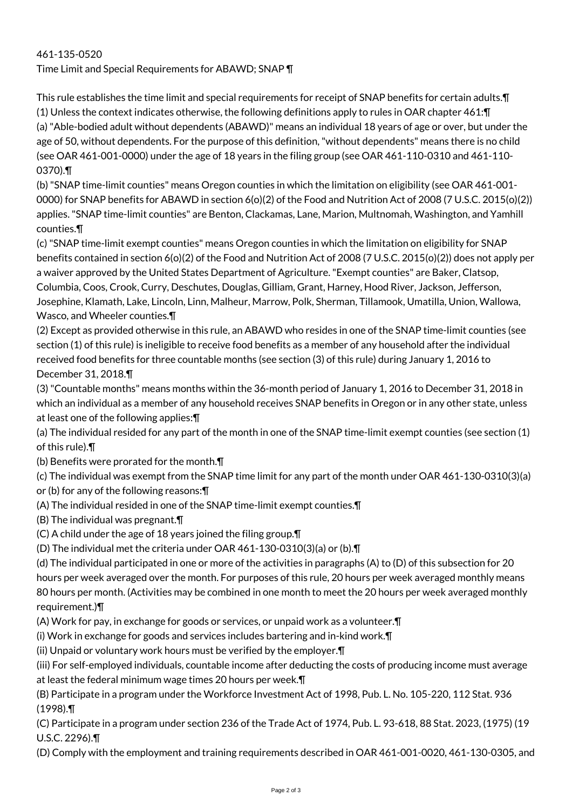# 461-135-0520 Time Limit and Special Requirements for ABAWD; SNAP ¶

This rule establishes the time limit and special requirements for receipt of SNAP benefits for certain adults.¶

(1) Unless the context indicates otherwise, the following definitions apply to rules in OAR chapter 461:¶ (a) "Able-bodied adult without dependents (ABAWD)" means an individual 18 years of age or over, but under the age of 50, without dependents. For the purpose of this definition, "without dependents" means there is no child (see OAR 461-001-0000) under the age of 18 years in the filing group (see OAR 461-110-0310 and 461-110- 0370).¶

(b) "SNAP time-limit counties" means Oregon counties in which the limitation on eligibility (see OAR 461-001- 0000) for SNAP benefits for ABAWD in section 6(o)(2) of the Food and Nutrition Act of 2008 (7 U.S.C. 2015(o)(2)) applies. "SNAP time-limit counties" are Benton, Clackamas, Lane, Marion, Multnomah, Washington, and Yamhill counties.¶

(c) "SNAP time-limit exempt counties" means Oregon counties in which the limitation on eligibility for SNAP benefits contained in section 6(o)(2) of the Food and Nutrition Act of 2008 (7 U.S.C. 2015(o)(2)) does not apply per a waiver approved by the United States Department of Agriculture. "Exempt counties" are Baker, Clatsop, Columbia, Coos, Crook, Curry, Deschutes, Douglas, Gilliam, Grant, Harney, Hood River, Jackson, Jefferson, Josephine, Klamath, Lake, Lincoln, Linn, Malheur, Marrow, Polk, Sherman, Tillamook, Umatilla, Union, Wallowa, Wasco, and Wheeler counties.¶

(2) Except as provided otherwise in this rule, an ABAWD who resides in one of the SNAP time-limit counties (see section (1) of this rule) is ineligible to receive food benefits as a member of any household after the individual received food benefits for three countable months (see section (3) of this rule) during January 1, 2016 to December 31, 2018.¶

(3) "Countable months" means months within the 36-month period of January 1, 2016 to December 31, 2018 in which an individual as a member of any household receives SNAP benefits in Oregon or in any other state, unless at least one of the following applies:¶

(a) The individual resided for any part of the month in one of the SNAP time-limit exempt counties (see section (1) of this rule).¶

(b) Benefits were prorated for the month.¶

(c) The individual was exempt from the SNAP time limit for any part of the month under OAR 461-130-0310(3)(a) or (b) for any of the following reasons:¶

(A) The individual resided in one of the SNAP time-limit exempt counties.¶

(B) The individual was pregnant.¶

(C) A child under the age of 18 years joined the filing group.¶

(D) The individual met the criteria under OAR 461-130-0310(3)(a) or (b).¶

(d) The individual participated in one or more of the activities in paragraphs (A) to (D) of this subsection for 20 hours per week averaged over the month. For purposes of this rule, 20 hours per week averaged monthly means 80 hours per month. (Activities may be combined in one month to meet the 20 hours per week averaged monthly requirement.)¶

(A) Work for pay, in exchange for goods or services, or unpaid work as a volunteer.¶

(i) Work in exchange for goods and services includes bartering and in-kind work.¶

(ii) Unpaid or voluntary work hours must be verified by the employer.¶

(iii) For self-employed individuals, countable income after deducting the costs of producing income must average at least the federal minimum wage times 20 hours per week.¶

(B) Participate in a program under the Workforce Investment Act of 1998, Pub. L. No. 105-220, 112 Stat. 936 (1998).¶

(C) Participate in a program under section 236 of the Trade Act of 1974, Pub. L. 93-618, 88 Stat. 2023, (1975) (19 U.S.C. 2296).¶

(D) Comply with the employment and training requirements described in OAR 461-001-0020, 461-130-0305, and